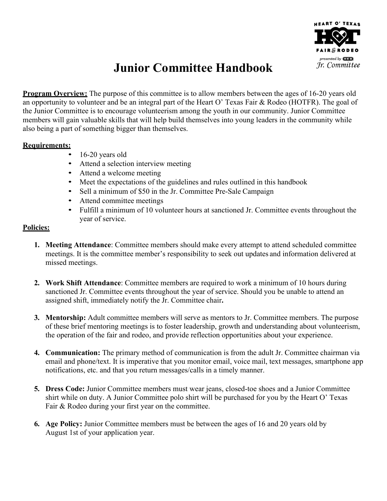

# **Junior Committee Handbook**

**Program Overview:** The purpose of this committee is to allow members between the ages of 16-20 years old an opportunity to volunteer and be an integral part of the Heart O' Texas Fair & Rodeo (HOTFR). The goal of the Junior Committee is to encourage volunteerism among the youth in our community. Junior Committee members will gain valuable skills that will help build themselves into young leaders in the community while also being a part of something bigger than themselves.

#### **Requirements:**

- 16-20 years old
- Attend a selection interview meeting
- Attend a welcome meeting
- Meet the expectations of the guidelines and rules outlined in this handbook
- Sell a minimum of \$50 in the Jr. Committee Pre-Sale Campaign
- Attend committee meetings
- Fulfill a minimum of 10 volunteer hours at sanctioned Jr. Committee events throughout the year of service.

#### **Policies:**

- **1. Meeting Attendance**: Committee members should make every attempt to attend scheduled committee meetings. It is the committee member's responsibility to seek out updates and information delivered at missed meetings.
- **2. Work Shift Attendance**: Committee members are required to work a minimum of 10 hours during sanctioned Jr. Committee events throughout the year of service. Should you be unable to attend an assigned shift, immediately notify the Jr. Committee chair**.**
- **3. Mentorship:** Adult committee members will serve as mentors to Jr. Committee members. The purpose of these brief mentoring meetings is to foster leadership, growth and understanding about volunteerism, the operation of the fair and rodeo, and provide reflection opportunities about your experience.
- **4. Communication:** The primary method of communication is from the adult Jr. Committee chairman via email and phone/text. It is imperative that you monitor email, voice mail, text messages, smartphone app notifications, etc. and that you return messages/calls in a timely manner.
- **5. Dress Code:** Junior Committee members must wear jeans, closed-toe shoes and a Junior Committee shirt while on duty. A Junior Committee polo shirt will be purchased for you by the Heart O' Texas Fair & Rodeo during your first year on the committee.
- **6. Age Policy:** Junior Committee members must be between the ages of 16 and 20 years old by August 1st of your application year.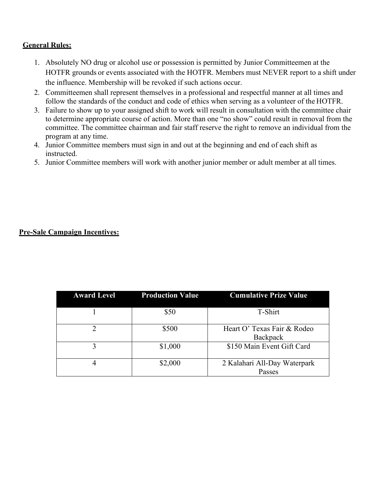### **General Rules:**

- 1. Absolutely NO drug or alcohol use or possession is permitted by Junior Committeemen at the HOTFR grounds or events associated with the HOTFR. Members must NEVER report to a shift under the influence. Membership will be revoked if such actions occur.
- 2. Committeemen shall represent themselves in a professional and respectful manner at all times and follow the standards of the conduct and code of ethics when serving as a volunteer of the HOTFR.
- 3. Failure to show up to your assigned shift to work will result in consultation with the committee chair to determine appropriate course of action. More than one "no show" could result in removal from the committee. The committee chairman and fair staff reserve the right to remove an individual from the program at any time.
- 4. Junior Committee members must sign in and out at the beginning and end of each shift as instructed.
- 5. Junior Committee members will work with another junior member or adult member at all times.

#### **Pre-Sale Campaign Incentives:**

| <b>Award Level</b> | <b>Production Value</b> | <b>Cumulative Prize Value</b>           |
|--------------------|-------------------------|-----------------------------------------|
|                    | \$50                    | T-Shirt                                 |
| ာ                  | \$500                   | Heart O' Texas Fair & Rodeo<br>Backpack |
|                    | \$1,000                 | \$150 Main Event Gift Card              |
|                    | \$2,000                 | 2 Kalahari All-Day Waterpark<br>Passes  |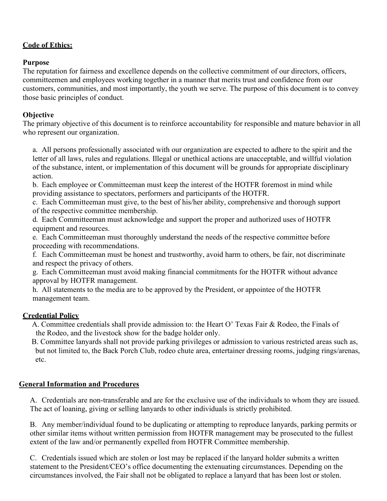# **Code of Ethics:**

# **Purpose**

The reputation for fairness and excellence depends on the collective commitment of our directors, officers, committeemen and employees working together in a manner that merits trust and confidence from our customers, communities, and most importantly, the youth we serve. The purpose of this document is to convey those basic principles of conduct.

# **Objective**

The primary objective of this document is to reinforce accountability for responsible and mature behavior in all who represent our organization.

a. All persons professionally associated with our organization are expected to adhere to the spirit and the letter of all laws, rules and regulations. Illegal or unethical actions are unacceptable, and willful violation of the substance, intent, or implementation of this document will be grounds for appropriate disciplinary action.

b. Each employee or Committeeman must keep the interest of the HOTFR foremost in mind while providing assistance to spectators, performers and participants of the HOTFR.

c. Each Committeeman must give, to the best of his/her ability, comprehensive and thorough support of the respective committee membership.

d. Each Committeeman must acknowledge and support the proper and authorized uses of HOTFR equipment and resources.

e. Each Committeeman must thoroughly understand the needs of the respective committee before proceeding with recommendations.

f. Each Committeeman must be honest and trustworthy, avoid harm to others, be fair, not discriminate and respect the privacy of others.

g. Each Committeeman must avoid making financial commitments for the HOTFR without advance approval by HOTFR management.

h. All statements to the media are to be approved by the President, or appointee of the HOTFR management team.

# **Credential Policy**

A. Committee credentials shall provide admission to: the Heart O' Texas Fair & Rodeo, the Finals of the Rodeo, and the livestock show for the badge holder only.

B. Committee lanyards shall not provide parking privileges or admission to various restricted areas such as, but not limited to, the Back Porch Club, rodeo chute area, entertainer dressing rooms, judging rings/arenas, etc.

# **General Information and Procedures**

A. Credentials are non-transferable and are for the exclusive use of the individuals to whom they are issued. The act of loaning, giving or selling lanyards to other individuals is strictly prohibited.

B. Any member/individual found to be duplicating or attempting to reproduce lanyards, parking permits or other similar items without written permission from HOTFR management may be prosecuted to the fullest extent of the law and/or permanently expelled from HOTFR Committee membership.

C. Credentials issued which are stolen or lost may be replaced if the lanyard holder submits a written statement to the President/CEO's office documenting the extenuating circumstances. Depending on the circumstances involved, the Fair shall not be obligated to replace a lanyard that has been lost or stolen.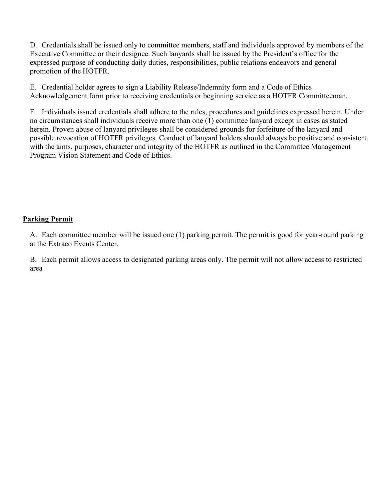D. Credentials shall be issued only to committee members, staff and individuals approved by members of the Executive Committee or their designee. Such lanyards shall be issued by the President's office for the expressed purpose of conducting daily duties, responsibilities, public relations endeavors and general promotion of the HOTFR.

E. Credential holder agrees to sign a Liability Release/Indemnity form and a Code of Ethics Acknowledgement form prior to receiving credentials or beginning service as a HOTFR Committeeman.

F. Individuals issued credentials shall adhere to the rules, procedures and guidelines expressed herein. Under no circumstances shall individuals receive more than one (1) committee lanyard except in cases as stated herein. Proven abuse of lanyard privileges shall be considered grounds for forfeiture of the lanyard and possible revocation of HOTFR privileges. Conduct of lanyard holders should always be positive and consistent with the aims, purposes, character and integrity of the HOTFR as outlined in the Committee Management Program Vision Statement and Code of Ethics.

#### **Parking Permit**

A. Each committee member will be issued one (1) parking permit. The permit is good for year-round parking at the Extraco Events Center.

B. Each permit allows access to designated parking areas only. The permit will not allow access to restricted area